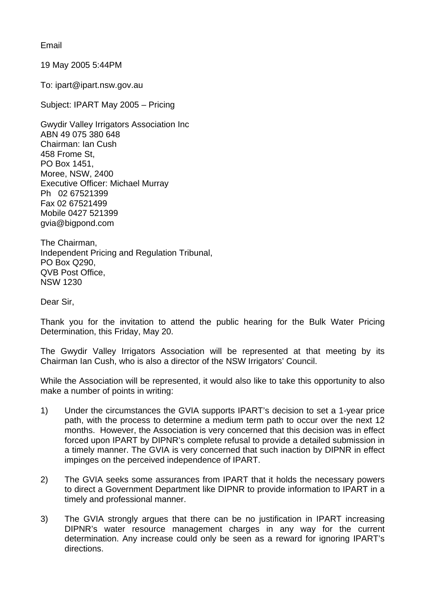Email

19 May 2005 5:44PM

To: ipart@ipart.nsw.gov.au

Subject: IPART May 2005 – Pricing

Gwydir Valley Irrigators Association Inc ABN 49 075 380 648 Chairman: Ian Cush 458 Frome St, PO Box 1451, Moree, NSW, 2400 Executive Officer: Michael Murray Ph 02 67521399 Fax 02 67521499 Mobile 0427 521399 gvia@bigpond.com

The Chairman, Independent Pricing and Regulation Tribunal, PO Box Q290, QVB Post Office, NSW 1230

Dear Sir,

Thank you for the invitation to attend the public hearing for the Bulk Water Pricing Determination, this Friday, May 20.

The Gwydir Valley Irrigators Association will be represented at that meeting by its Chairman Ian Cush, who is also a director of the NSW Irrigators' Council.

While the Association will be represented, it would also like to take this opportunity to also make a number of points in writing:

- 1) Under the circumstances the GVIA supports IPART's decision to set a 1-year price path, with the process to determine a medium term path to occur over the next 12 months. However, the Association is very concerned that this decision was in effect forced upon IPART by DIPNR's complete refusal to provide a detailed submission in a timely manner. The GVIA is very concerned that such inaction by DIPNR in effect impinges on the perceived independence of IPART.
- 2) The GVIA seeks some assurances from IPART that it holds the necessary powers to direct a Government Department like DIPNR to provide information to IPART in a timely and professional manner.
- 3) The GVIA strongly argues that there can be no justification in IPART increasing DIPNR's water resource management charges in any way for the current determination. Any increase could only be seen as a reward for ignoring IPART's directions.